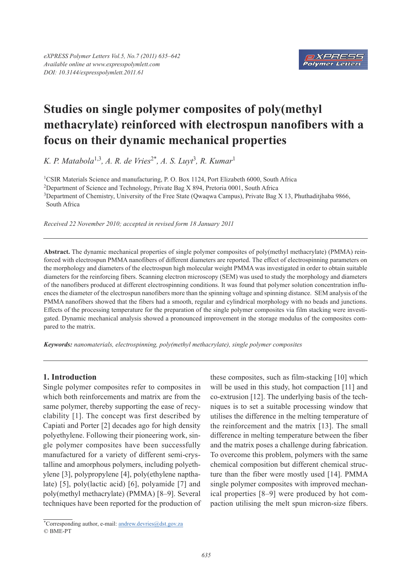

# **Studies on single polymer composites of poly(methyl methacrylate) reinforced with electrospun nanofibers with a focus on their dynamic mechanical properties**

*K. P. Matabola*1,3*, A. R. de Vries*2\**, A. S. Luyt*<sup>3</sup> *, R. Kumar*<sup>1</sup>

1CSIR Materials Science and manufacturing, P. O. Box 1124, Port Elizabeth 6000, South Africa 2Department of Science and Technology, Private Bag X 894, Pretoria 0001, South Africa <sup>3</sup>Department of Chemistry, University of the Free State (Qwaqwa Campus), Private Bag X 13, Phuthaditjhaba 9866, South Africa

*Received 22 November 2010; accepted in revised form 18 January 2011*

**Abstract.** The dynamic mechanical properties of single polymer composites of poly(methyl methacrylate) (PMMA) reinforced with electrospun PMMA nanofibers of different diameters are reported. The effect of electrospinning parameters on the morphology and diameters of the electrospun high molecular weight PMMA was investigated in order to obtain suitable diameters for the reinforcing fibers. Scanning electron microscopy (SEM) was used to study the morphology and diameters of the nanofibers produced at different electrospinning conditions. It was found that polymer solution concentration influences the diameter of the electrospun nanofibers more than the spinning voltage and spinning distance. SEM analysis of the PMMA nanofibers showed that the fibers had a smooth, regular and cylindrical morphology with no beads and junctions. Effects of the processing temperature for the preparation of the single polymer composites via film stacking were investigated. Dynamic mechanical analysis showed a pronounced improvement in the storage modulus of the composites compared to the matrix.

*Keywords: nanomaterials, electrospinning, poly(methyl methacrylate), single polymer composites*

# **1. Introduction**

Single polymer composites refer to composites in which both reinforcements and matrix are from the same polymer, thereby supporting the ease of recyclability [1]. The concept was first described by Capiati and Porter [2] decades ago for high density polyethylene. Following their pioneering work, single polymer composites have been successfully manufactured for a variety of different semi-crystalline and amorphous polymers, including polyethylene [3], polypropylene [4], poly(ethylene napthalate) [5], poly(lactic acid) [6], polyamide [7] and poly(methyl methacrylate) (PMMA) [8–9]. Several techniques have been reported for the production of

these composites, such as film-stacking [10] which will be used in this study, hot compaction [11] and co-extrusion [12]. The underlying basis of the techniques is to set a suitable processing window that utilises the difference in the melting temperature of the reinforcement and the matrix [13]. The small difference in melting temperature between the fiber and the matrix poses a challenge during fabrication. To overcome this problem, polymers with the same chemical composition but different chemical structure than the fiber were mostly used [14]. PMMA single polymer composites with improved mechanical properties [8–9] were produced by hot compaction utilising the melt spun micron-size fibers.

<sup>\*</sup>Corresponding author, e-mail: andrew.devries@dst.gov.za © BME-PT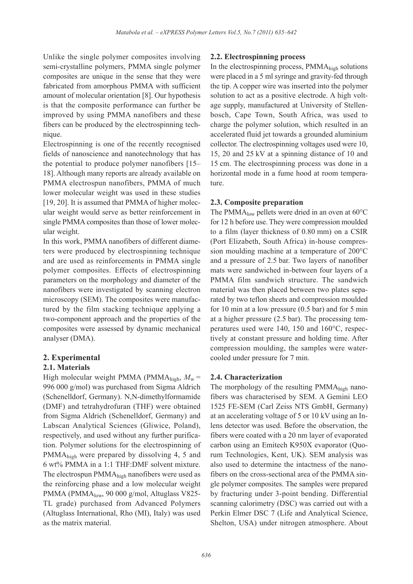Unlike the single polymer composites involving semi-crystalline polymers, PMMA single polymer composites are unique in the sense that they were fabricated from amorphous PMMA with sufficient amount of molecular orientation [8]. Our hypothesis is that the composite performance can further be improved by using PMMA nanofibers and these fibers can be produced by the electrospinning technique.

Electrospinning is one of the recently recognised fields of nanoscience and nanotechnology that has the potential to produce polymer nanofibers [15– 18]. Although many reports are already available on PMMA electrospun nanofibers, PMMA of much lower molecular weight was used in these studies [19, 20]. It is assumed that PMMA of higher molecular weight would serve as better reinforcement in single PMMA composites than those of lower molecular weight.

In this work, PMMA nanofibers of different diameters were produced by electrospinning technique and are used as reinforcements in PMMA single polymer composites. Effects of electrospinning parameters on the morphology and diameter of the nanofibers were investigated by scanning electron microscopy (SEM). The composites were manufactured by the film stacking technique applying a two-component approach and the properties of the composites were assessed by dynamic mechanical analyser (DMA).

# **2. Experimental**

# **2.1. Materials**

High molecular weight PMMA (PMMA<sub>high</sub>,  $M_w$  = 996 000 g/mol) was purchased from Sigma Aldrich (Schenelldorf, Germany). N,N-dimethylformamide (DMF) and tetrahydrofuran (THF) were obtained from Sigma Aldrich (Schenelldorf, Germany) and Labscan Analytical Sciences (Gliwice, Poland), respectively, and used without any further purification. Polymer solutions for the electrospinning of PMMAhigh were prepared by dissolving 4, 5 and 6 wt% PMMA in a 1:1 THF:DMF solvent mixture. The electrospun PMMAhigh nanofibers were used as the reinforcing phase and a low molecular weight PMMA (PMMA<sub>low</sub>, 90 000 g/mol, Altuglass V825-TL grade) purchased from Advanced Polymers (Altuglass International, Rho (MI), Italy) was used as the matrix material.

## **2.2. Electrospinning process**

In the electrospinning process, PMMAhigh solutions were placed in a 5 ml syringe and gravity-fed through the tip. A copper wire was inserted into the polymer solution to act as a positive electrode. A high voltage supply, manufactured at University of Stellenbosch, Cape Town, South Africa, was used to charge the polymer solution, which resulted in an accelerated fluid jet towards a grounded aluminium collector. The electrospinning voltages used were 10, 15, 20 and 25 kV at a spinning distance of 10 and 15 cm. The electrospinning process was done in a horizontal mode in a fume hood at room temperature.

## **2.3. Composite preparation**

The PMMA<sub>low</sub> pellets were dried in an oven at  $60^{\circ}$ C for 12 h before use. They were compression moulded to a film (layer thickness of 0.80 mm) on a CSIR (Port Elizabeth, South Africa) in-house compression moulding machine at a temperature of 200°C and a pressure of 2.5 bar. Two layers of nanofiber mats were sandwiched in-between four layers of a PMMA film sandwich structure. The sandwich material was then placed between two plates separated by two teflon sheets and compression moulded for 10 min at a low pressure (0.5 bar) and for 5 min at a higher pressure (2.5 bar). The processing temperatures used were 140, 150 and 160°C, respectively at constant pressure and holding time. After compression moulding, the samples were watercooled under pressure for 7 min.

# **2.4. Characterization**

The morphology of the resulting PMMA<sub>high</sub> nanofibers was characterised by SEM. A Gemini LEO 1525 FE-SEM (Carl Zeiss NTS GmbH, Germany) at an accelerating voltage of 5 or 10 kV using an Inlens detector was used. Before the observation, the fibers were coated with a 20 nm layer of evaporated carbon using an Emitech K950X evaporator (Quorum Technologies, Kent, UK). SEM analysis was also used to determine the intactness of the nanofibers on the cross-sectional area of the PMMA single polymer composites. The samples were prepared by fracturing under 3-point bending. Differential scanning calorimetry (DSC) was carried out with a Perkin Elmer DSC 7 (Life and Analytical Science, Shelton, USA) under nitrogen atmosphere. About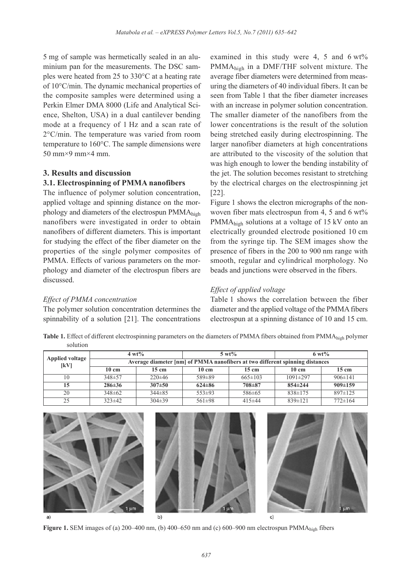5 mg of sample was hermetically sealed in an aluminium pan for the measurements. The DSC samples were heated from 25 to 330°C at a heating rate of 10°C/min. The dynamic mechanical properties of the composite samples were determined using a Perkin Elmer DMA 8000 (Life and Analytical Science, Shelton, USA) in a dual cantilever bending mode at a frequency of 1 Hz and a scan rate of 2°C/min. The temperature was varied from room temperature to 160°C. The sample dimensions were 50 mm $\times$ 9 mm $\times$ 4 mm.

# **3. Results and discussion**

# **3.1. Electrospinning of PMMA nanofibers**

The influence of polymer solution concentration, applied voltage and spinning distance on the morphology and diameters of the electrospun PMMA<sub>high</sub> nanofibers were investigated in order to obtain nanofibers of different diameters. This is important for studying the effect of the fiber diameter on the properties of the single polymer composites of PMMA. Effects of various parameters on the morphology and diameter of the electrospun fibers are discussed.

#### *Effect of PMMA concentration*

The polymer solution concentration determines the spinnability of a solution [21]. The concentrations

examined in this study were 4, 5 and 6 wt% PMMAhigh in a DMF/THF solvent mixture. The average fiber diameters were determined from measuring the diameters of 40 individual fibers. It can be seen from Table 1 that the fiber diameter increases with an increase in polymer solution concentration. The smaller diameter of the nanofibers from the lower concentrations is the result of the solution being stretched easily during electrospinning. The larger nanofiber diameters at high concentrations are attributed to the viscosity of the solution that was high enough to lower the bending instability of the jet. The solution becomes resistant to stretching by the electrical charges on the electrospinning jet [22].

Figure 1 shows the electron micrographs of the nonwoven fiber mats electrospun from 4, 5 and 6 wt% PMMAhigh solutions at a voltage of 15 kV onto an electrically grounded electrode positioned 10 cm from the syringe tip. The SEM images show the presence of fibers in the 200 to 900 nm range with smooth, regular and cylindrical morphology. No beads and junctions were observed in the fibers.

#### *Effect of applied voltage*

Table 1 shows the correlation between the fiber diameter and the applied voltage of the PMMA fibers electrospun at a spinning distance of 10 and 15 cm.

**Table 1.** Effect of different electrospinning parameters on the diameters of PMMA fibers obtained from PMMAhigh polymer solution

| Applied voltage<br>[kV] | $4 \text{ wt} \%$                                                            |                 | $5 \text{ wt\%}$ |                 | $6 \text{ wt\%}$ |                 |  |
|-------------------------|------------------------------------------------------------------------------|-----------------|------------------|-----------------|------------------|-----------------|--|
|                         | Average diameter [nm] of PMMA nanofibers at two different spinning distances |                 |                  |                 |                  |                 |  |
|                         | $10 \text{ cm}$                                                              | $15 \text{ cm}$ | $10 \text{ cm}$  | $15 \text{ cm}$ | $10 \text{ cm}$  | $15 \text{ cm}$ |  |
| 10                      | $348 \pm 57$                                                                 | $220\pm 46$     | 589±89           | $665 \pm 103$   | $1091 \pm 297$   | $906 \pm 141$   |  |
| 15                      | $286 \pm 36$                                                                 | $307\pm50$      | $624\pm86$       | $708 + 87$      | $854 \pm 244$    | $909 \pm 159$   |  |
| 20                      | $348\pm62$                                                                   | $344\pm85$      | $553\pm93$       | $586 \pm 65$    | $838 \pm 175$    | $897 \pm 125$   |  |
| 25                      | $323 \pm 42$                                                                 | $304\pm39$      | $561\pm98$       | $415 \pm 44$    | $839 \pm 121$    | $772 \pm 164$   |  |



**Figure 1.** SEM images of (a) 200–400 nm, (b) 400–650 nm and (c) 600–900 nm electrospun PMMA<sub>high</sub> fibers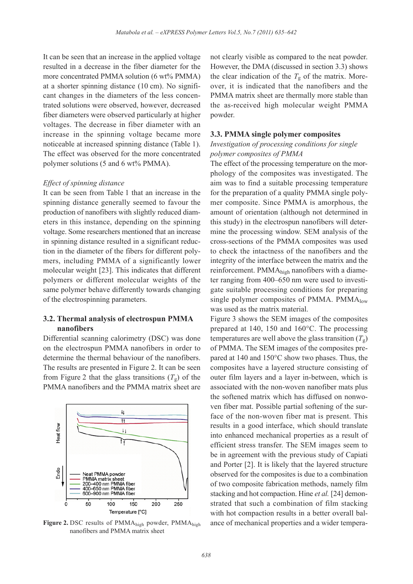It can be seen that an increase in the applied voltage resulted in a decrease in the fiber diameter for the more concentrated PMMA solution (6 wt% PMMA) at a shorter spinning distance (10 cm). No significant changes in the diameters of the less concentrated solutions were observed, however, decreased fiber diameters were observed particularly at higher voltages. The decrease in fiber diameter with an increase in the spinning voltage became more noticeable at increased spinning distance (Table 1). The effect was observed for the more concentrated polymer solutions (5 and 6 wt% PMMA).

#### *Effect of spinning distance*

It can be seen from Table 1 that an increase in the spinning distance generally seemed to favour the production of nanofibers with slightly reduced diameters in this instance, depending on the spinning voltage. Some researchers mentioned that an increase in spinning distance resulted in a significant reduction in the diameter of the fibers for different polymers, including PMMA of a significantly lower molecular weight [23]. This indicates that different polymers or different molecular weights of the same polymer behave differently towards changing of the electrospinning parameters.

## **3.2. Thermal analysis of electrospun PMMA nanofibers**

Differential scanning calorimetry (DSC) was done on the electrospun PMMA nanofibers in order to determine the thermal behaviour of the nanofibers. The results are presented in Figure 2. It can be seen from Figure 2 that the glass transitions  $(T<sub>g</sub>)$  of the PMMA nanofibers and the PMMA matrix sheet are



Figure 2. DSC results of PMMA<sub>high</sub> powder, PMMA<sub>high</sub> nanofibers and PMMA matrix sheet

not clearly visible as compared to the neat powder. However, the DMA (discussed in section 3.3) shows the clear indication of the  $T_g$  of the matrix. Moreover, it is indicated that the nanofibers and the PMMA matrix sheet are thermally more stable than the as-received high molecular weight PMMA powder.

#### **3.3. PMMA single polymer composites**

## *Investigation of processing conditions for single polymer composites of PMMA*

The effect of the processing temperature on the morphology of the composites was investigated. The aim was to find a suitable processing temperature for the preparation of a quality PMMA single polymer composite. Since PMMA is amorphous, the amount of orientation (although not determined in this study) in the electrospun nanofibers will determine the processing window. SEM analysis of the cross-sections of the PMMA composites was used to check the intactness of the nanofibers and the integrity of the interface between the matrix and the reinforcement. PMMAhigh nanofibers with a diameter ranging from 400–650 nm were used to investigate suitable processing conditions for preparing single polymer composites of PMMA. PMM $A_{low}$ was used as the matrix material.

Figure 3 shows the SEM images of the composites prepared at 140, 150 and 160°C. The processing temperatures are well above the glass transition  $(T_{\varphi})$ of PMMA. The SEM images of the composites prepared at 140 and 150°C show two phases. Thus, the composites have a layered structure consisting of outer film layers and a layer in-between, which is associated with the non-woven nanofiber mats plus the softened matrix which has diffused on nonwoven fiber mat. Possible partial softening of the surface of the non-woven fiber mat is present. This results in a good interface, which should translate into enhanced mechanical properties as a result of efficient stress transfer. The SEM images seem to be in agreement with the previous study of Capiati and Porter [2]. It is likely that the layered structure observed for the composites is due to a combination of two composite fabrication methods, namely film stacking and hot compaction. Hine *et al.* [24] demonstrated that such a combination of film stacking with hot compaction results in a better overall balance of mechanical properties and a wider tempera-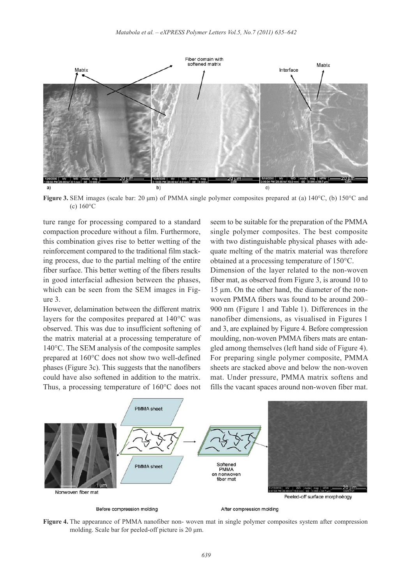

**Figure 3.** SEM images (scale bar: 20 µm) of PMMA single polymer composites prepared at (a) 140°C, (b) 150°C and (c) 160°C

ture range for processing compared to a standard compaction procedure without a film. Furthermore, this combination gives rise to better wetting of the reinforcement compared to the traditional film stacking process, due to the partial melting of the entire fiber surface. This better wetting of the fibers results in good interfacial adhesion between the phases, which can be seen from the SEM images in Figure 3.

However, delamination between the different matrix layers for the composites prepared at 140°C was observed. This was due to insufficient softening of the matrix material at a processing temperature of 140°C. The SEM analysis of the composite samples prepared at 160°C does not show two well-defined phases (Figure 3c). This suggests that the nanofibers could have also softened in addition to the matrix. Thus, a processing temperature of 160°C does not

seem to be suitable for the preparation of the PMMA single polymer composites. The best composite with two distinguishable physical phases with adequate melting of the matrix material was therefore obtained at a processing temperature of 150°C.

Dimension of the layer related to the non-woven fiber mat, as observed from Figure 3, is around 10 to 15 um. On the other hand, the diameter of the nonwoven PMMA fibers was found to be around 200– 900 nm (Figure 1 and Table 1). Differences in the nanofiber dimensions, as visualised in Figures 1 and 3, are explained by Figure 4. Before compression moulding, non-woven PMMA fibers mats are entangled among themselves (left hand side of Figure 4). For preparing single polymer composite, PMMA sheets are stacked above and below the non-woven mat. Under pressure, PMMA matrix softens and fills the vacant spaces around non-woven fiber mat.



Before compression molding

After compression molding

**Figure 4.** The appearance of PMMA nanofiber non- woven mat in single polymer composites system after compression molding. Scale bar for peeled-off picture is 20  $\mu$ m.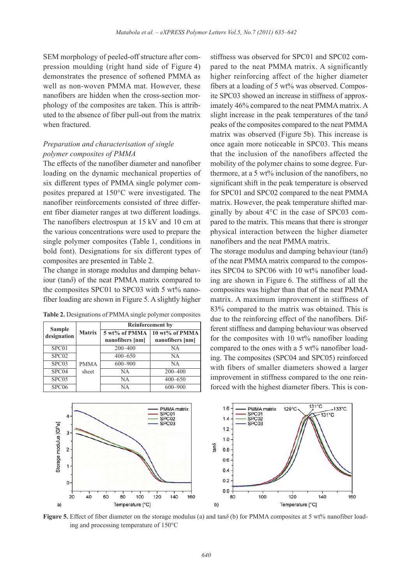SEM morphology of peeled-off structure after compression moulding (right hand side of Figure 4) demonstrates the presence of softened PMMA as well as non-woven PMMA mat. However, these nanofibers are hidden when the cross-section morphology of the composites are taken. This is attributed to the absence of fiber pull-out from the matrix when fractured.

# *Preparation and characterisation of single polymer composites of PMMA*

The effects of the nanofiber diameter and nanofiber loading on the dynamic mechanical properties of six different types of PMMA single polymer composites prepared at 150°C were investigated. The nanofiber reinforcements consisted of three different fiber diameter ranges at two different loadings. The nanofibers electrospun at 15 kV and 10 cm at the various concentrations were used to prepare the single polymer composites (Table 1, conditions in bold font). Designations for six different types of composites are presented in Table 2.

The change in storage modulus and damping behaviour ( $tan\delta$ ) of the neat PMMA matrix compared to the composites SPC01 to SPC03 with 5 wt% nanofiber loading are shown in Figure 5. A slightly higher

**Table 2.** Designations of PMMA single polymer composites

| <b>Sample</b>     | <b>Matrix</b> | <b>Reinforcement</b> by |                 |  |  |
|-------------------|---------------|-------------------------|-----------------|--|--|
| designation       |               | 5 wt% of PMMA           | 10 wt% of PMMA  |  |  |
|                   |               | nanofibers [nm]         | nanofibers [nm] |  |  |
| SPC01             |               | $200 - 400$             | NA              |  |  |
| SPC <sub>02</sub> |               | $400 - 650$             | NA              |  |  |
| SPC03             | <b>PMMA</b>   | $600 - 900$             | <b>NA</b>       |  |  |
| SPC04             | sheet         | <b>NA</b>               | $200 - 400$     |  |  |
| SPC <sub>05</sub> |               | <b>NA</b>               | $400 - 650$     |  |  |
| SPC <sub>06</sub> |               | <b>NA</b>               | $600 - 900$     |  |  |

stiffness was observed for SPC01 and SPC02 compared to the neat PMMA matrix. A significantly higher reinforcing affect of the higher diameter fibers at a loading of 5 wt% was observed. Composite SPC03 showed an increase in stiffness of approximately 46% compared to the neat PMMA matrix. A slight increase in the peak temperatures of the  $tan\delta$ peaks of the composites compared to the neat PMMA matrix was observed (Figure 5b). This increase is once again more noticeable in SPC03. This means that the inclusion of the nanofibers affected the mobility of the polymer chains to some degree. Furthermore, at a 5 wt% inclusion of the nanofibers, no significant shift in the peak temperature is observed for SPC01 and SPC02 compared to the neat PMMA matrix. However, the peak temperature shifted marginally by about 4°C in the case of SPC03 compared to the matrix. This means that there is stronger physical interaction between the higher diameter nanofibers and the neat PMMA matrix.

The storage modulus and damping behaviour  $(tan\delta)$ of the neat PMMA matrix compared to the composites SPC04 to SPC06 with 10 wt% nanofiber loading are shown in Figure 6. The stiffness of all the composites was higher than that of the neat PMMA matrix. A maximum improvement in stiffness of 83% compared to the matrix was obtained. This is due to the reinforcing effect of the nanofibers. Different stiffness and damping behaviour was observed for the composites with  $10 \text{ wt}$ % nanofiber loading compared to the ones with a 5 wt% nanofiber loading. The composites (SPC04 and SPC05) reinforced with fibers of smaller diameters showed a larger improvement in stiffness compared to the one reinforced with the highest diameter fibers. This is con-



**Figure 5.** Effect of fiber diameter on the storage modulus (a) and tan $\delta$  (b) for PMMA composites at 5 wt% nanofiber loading and processing temperature of 150°C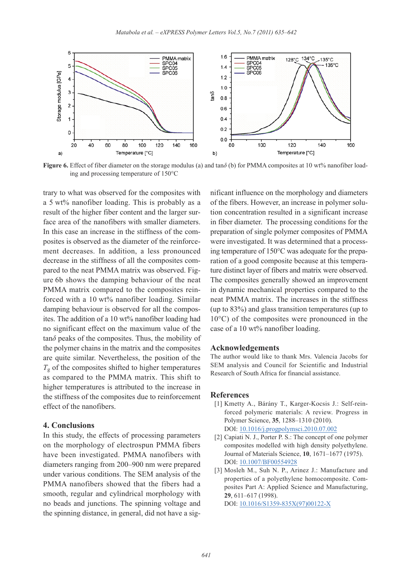

**Figure 6.** Effect of fiber diameter on the storage modulus (a) and tan $\delta$  (b) for PMMA composites at 10 wt% nanofiber loading and processing temperature of 150°C

trary to what was observed for the composites with a 5 wt% nanofiber loading. This is probably as a result of the higher fiber content and the larger surface area of the nanofibers with smaller diameters. In this case an increase in the stiffness of the composites is observed as the diameter of the reinforcement decreases. In addition, a less pronounced decrease in the stiffness of all the composites compared to the neat PMMA matrix was observed. Figure 6b shows the damping behaviour of the neat PMMA matrix compared to the composites reinforced with a 10 wt% nanofiber loading. Similar damping behaviour is observed for all the composites. The addition of a 10 wt% nanofiber loading had no significant effect on the maximum value of the  $tan\delta$  peaks of the composites. Thus, the mobility of the polymer chains in the matrix and the composites are quite similar. Nevertheless, the position of the  $T_g$  of the composites shifted to higher temperatures as compared to the PMMA matrix. This shift to higher temperatures is attributed to the increase in the stiffness of the composites due to reinforcement effect of the nanofibers.

## **4. Conclusions**

In this study, the effects of processing parameters on the morphology of electrospun PMMA fibers have been investigated. PMMA nanofibers with diameters ranging from 200–900 nm were prepared under various conditions. The SEM analysis of the PMMA nanofibers showed that the fibers had a smooth, regular and cylindrical morphology with no beads and junctions. The spinning voltage and the spinning distance, in general, did not have a significant influence on the morphology and diameters of the fibers. However, an increase in polymer solution concentration resulted in a significant increase in fiber diameter. The processing conditions for the preparation of single polymer composites of PMMA were investigated. It was determined that a processing temperature of 150°C was adequate for the preparation of a good composite because at this temperature distinct layer of fibers and matrix were observed. The composites generally showed an improvement in dynamic mechanical properties compared to the neat PMMA matrix. The increases in the stiffness (up to 83%) and glass transition temperatures (up to 10°C) of the composites were pronounced in the case of a 10 wt% nanofiber loading.

#### **Acknowledgements**

The author would like to thank Mrs. Valencia Jacobs for SEM analysis and Council for Scientific and Industrial Research of South Africa for financial assistance.

#### **References**

- [1] Kmetty A., Bárány T., Karger-Kocsis J.: Self-reinforced polymeric materials: A review. Progress in Polymer Science, **35**, 1288–1310 (2010). DOI: [10.1016/j.progpolymsci.2010.07.002](http://dx.doi.org/10.1016/j.progpolymsci.2010.07.002)
- [2] Capiati N. J., Porter P. S.: The concept of one polymer composites modelled with high density polyethylene. Journal of Materials Science, **10**, 1671–1677 (1975). DOI: [10.1007/BF00554928](http://dx.doi.org/10.1007/BF00554928)
- [3] Mosleh M., Suh N. P., Arinez J.: Manufacture and properties of a polyethylene homocomposite. Composites Part A: Applied Science and Manufacturing, **29**, 611–617 (1998).

DOI: [10.1016/S1359-835X\(97\)00122-X](http://dx.doi.org/10.1016/S1359-835X(97)00122-X)